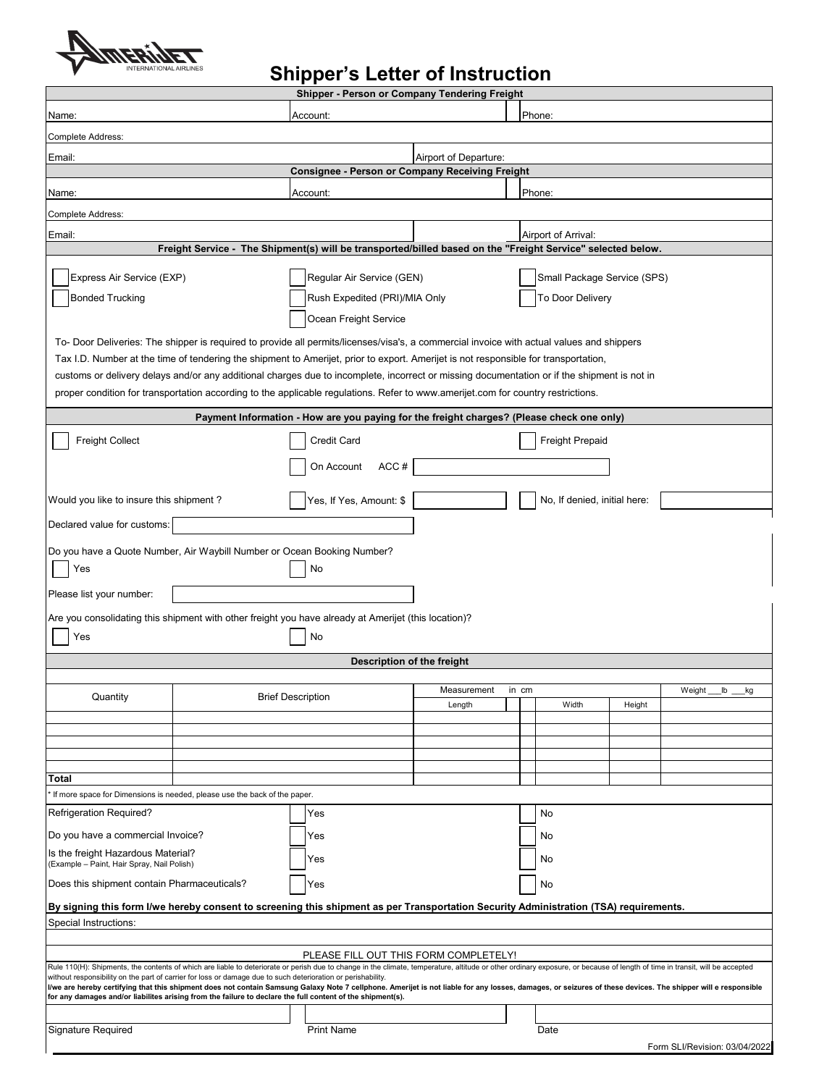

## **Shipper's Letter of Instruction**

| Shipper - Person or Company Tendering Freight                                                                                                                                                                                                                                                                                |  |                                                                                                                                             |                                                 |                     |                              |        |                               |  |
|------------------------------------------------------------------------------------------------------------------------------------------------------------------------------------------------------------------------------------------------------------------------------------------------------------------------------|--|---------------------------------------------------------------------------------------------------------------------------------------------|-------------------------------------------------|---------------------|------------------------------|--------|-------------------------------|--|
| Phone:<br>Account:<br>Name:                                                                                                                                                                                                                                                                                                  |  |                                                                                                                                             |                                                 |                     |                              |        |                               |  |
| Complete Address:                                                                                                                                                                                                                                                                                                            |  |                                                                                                                                             |                                                 |                     |                              |        |                               |  |
| Email:                                                                                                                                                                                                                                                                                                                       |  |                                                                                                                                             | Airport of Departure:                           |                     |                              |        |                               |  |
|                                                                                                                                                                                                                                                                                                                              |  |                                                                                                                                             | Consignee - Person or Company Receiving Freight |                     |                              |        |                               |  |
| Name:                                                                                                                                                                                                                                                                                                                        |  | Account:                                                                                                                                    |                                                 |                     | Phone:                       |        |                               |  |
| Complete Address:                                                                                                                                                                                                                                                                                                            |  |                                                                                                                                             |                                                 |                     |                              |        |                               |  |
|                                                                                                                                                                                                                                                                                                                              |  |                                                                                                                                             |                                                 |                     |                              |        |                               |  |
| Email:                                                                                                                                                                                                                                                                                                                       |  | Freight Service - The Shipment(s) will be transported/billed based on the "Freight Service" selected below.                                 |                                                 | Airport of Arrival: |                              |        |                               |  |
|                                                                                                                                                                                                                                                                                                                              |  |                                                                                                                                             |                                                 |                     |                              |        |                               |  |
| Express Air Service (EXP)                                                                                                                                                                                                                                                                                                    |  | Regular Air Service (GEN)                                                                                                                   |                                                 |                     | Small Package Service (SPS)  |        |                               |  |
| <b>Bonded Trucking</b>                                                                                                                                                                                                                                                                                                       |  | Rush Expedited (PRI)/MIA Only                                                                                                               |                                                 | To Door Delivery    |                              |        |                               |  |
|                                                                                                                                                                                                                                                                                                                              |  | Ocean Freight Service                                                                                                                       |                                                 |                     |                              |        |                               |  |
| To- Door Deliveries: The shipper is required to provide all permits/licenses/visa's, a commercial invoice with actual values and shippers                                                                                                                                                                                    |  |                                                                                                                                             |                                                 |                     |                              |        |                               |  |
| Tax I.D. Number at the time of tendering the shipment to Amerijet, prior to export. Amerijet is not responsible for transportation,                                                                                                                                                                                          |  |                                                                                                                                             |                                                 |                     |                              |        |                               |  |
|                                                                                                                                                                                                                                                                                                                              |  | customs or delivery delays and/or any additional charges due to incomplete, incorrect or missing documentation or if the shipment is not in |                                                 |                     |                              |        |                               |  |
| proper condition for transportation according to the applicable regulations. Refer to www.amerijet.com for country restrictions.                                                                                                                                                                                             |  |                                                                                                                                             |                                                 |                     |                              |        |                               |  |
| Payment Information - How are you paying for the freight charges? (Please check one only)                                                                                                                                                                                                                                    |  |                                                                                                                                             |                                                 |                     |                              |        |                               |  |
| <b>Freight Collect</b>                                                                                                                                                                                                                                                                                                       |  | <b>Credit Card</b>                                                                                                                          |                                                 |                     | <b>Freight Prepaid</b>       |        |                               |  |
|                                                                                                                                                                                                                                                                                                                              |  |                                                                                                                                             |                                                 |                     |                              |        |                               |  |
|                                                                                                                                                                                                                                                                                                                              |  | ACC#<br>On Account                                                                                                                          |                                                 |                     |                              |        |                               |  |
| Would you like to insure this shipment?                                                                                                                                                                                                                                                                                      |  |                                                                                                                                             |                                                 |                     | No, If denied, initial here: |        |                               |  |
|                                                                                                                                                                                                                                                                                                                              |  | Yes, If Yes, Amount: \$                                                                                                                     |                                                 |                     |                              |        |                               |  |
| Declared value for customs:                                                                                                                                                                                                                                                                                                  |  |                                                                                                                                             |                                                 |                     |                              |        |                               |  |
| Do you have a Quote Number, Air Waybill Number or Ocean Booking Number?                                                                                                                                                                                                                                                      |  |                                                                                                                                             |                                                 |                     |                              |        |                               |  |
| Yes                                                                                                                                                                                                                                                                                                                          |  | No                                                                                                                                          |                                                 |                     |                              |        |                               |  |
| Please list your number:                                                                                                                                                                                                                                                                                                     |  |                                                                                                                                             |                                                 |                     |                              |        |                               |  |
|                                                                                                                                                                                                                                                                                                                              |  |                                                                                                                                             |                                                 |                     |                              |        |                               |  |
| ?Are you consolidating this shipment with other freight you have already at Amerijet (this location                                                                                                                                                                                                                          |  |                                                                                                                                             |                                                 |                     |                              |        |                               |  |
| Yes                                                                                                                                                                                                                                                                                                                          |  | No                                                                                                                                          |                                                 |                     |                              |        |                               |  |
|                                                                                                                                                                                                                                                                                                                              |  | Description of the freight                                                                                                                  |                                                 |                     |                              |        |                               |  |
|                                                                                                                                                                                                                                                                                                                              |  |                                                                                                                                             | Measurement                                     |                     |                              |        | Weight<br>lb                  |  |
| Quantity                                                                                                                                                                                                                                                                                                                     |  | <b>Brief Description</b>                                                                                                                    | Length                                          | in cm               | Width                        | Height | kg                            |  |
|                                                                                                                                                                                                                                                                                                                              |  |                                                                                                                                             |                                                 |                     |                              |        |                               |  |
|                                                                                                                                                                                                                                                                                                                              |  |                                                                                                                                             |                                                 |                     |                              |        |                               |  |
|                                                                                                                                                                                                                                                                                                                              |  |                                                                                                                                             |                                                 |                     |                              |        |                               |  |
| Total                                                                                                                                                                                                                                                                                                                        |  |                                                                                                                                             |                                                 |                     |                              |        |                               |  |
| If more space for Dimensions is needed, please use the back of the paper.                                                                                                                                                                                                                                                    |  |                                                                                                                                             |                                                 |                     |                              |        |                               |  |
| <b>Refrigeration Required?</b>                                                                                                                                                                                                                                                                                               |  | Yes                                                                                                                                         |                                                 |                     | No                           |        |                               |  |
| Do you have a commercial Invoice?                                                                                                                                                                                                                                                                                            |  | Yes                                                                                                                                         |                                                 |                     | No                           |        |                               |  |
| Is the freight Hazardous Material?                                                                                                                                                                                                                                                                                           |  | Yes                                                                                                                                         |                                                 |                     | No                           |        |                               |  |
| (Example - Paint, Hair Spray, Nail Polish)                                                                                                                                                                                                                                                                                   |  |                                                                                                                                             |                                                 |                     |                              |        |                               |  |
| Does this shipment contain Pharmaceuticals?                                                                                                                                                                                                                                                                                  |  | Yes                                                                                                                                         |                                                 |                     | No                           |        |                               |  |
| By signing this form I/we hereby consent to screening this shipment as per Transportation Security Administration (TSA) requirements.                                                                                                                                                                                        |  |                                                                                                                                             |                                                 |                     |                              |        |                               |  |
| Special Instructions:                                                                                                                                                                                                                                                                                                        |  |                                                                                                                                             |                                                 |                     |                              |        |                               |  |
|                                                                                                                                                                                                                                                                                                                              |  |                                                                                                                                             |                                                 |                     |                              |        |                               |  |
| PLEASE FILL OUT THIS FORM COMPLETELY!<br>Rule 110(H): Shipments, the contents of which are liable to deteriorate or perish due to change in the climate, temperature, altitude or other ordinary exposure, or because of length of time in transit, will be accepted                                                         |  |                                                                                                                                             |                                                 |                     |                              |        |                               |  |
| without responsibility on the part of carrier for loss or damage due to such deterioration or perishability.<br>l/we are hereby certifying that this shipment does not contain Samsung Galaxy Note 7 cellphone. Amerijet is not liable for any losses, damages, or seizures of these devices. The shipper will e responsible |  |                                                                                                                                             |                                                 |                     |                              |        |                               |  |
| for any damages and/or liabilites arising from the failure to declare the full content of the shipment(s).                                                                                                                                                                                                                   |  |                                                                                                                                             |                                                 |                     |                              |        |                               |  |
|                                                                                                                                                                                                                                                                                                                              |  |                                                                                                                                             |                                                 |                     |                              |        |                               |  |
| Signature Required                                                                                                                                                                                                                                                                                                           |  | <b>Print Name</b>                                                                                                                           |                                                 |                     | Date                         |        |                               |  |
|                                                                                                                                                                                                                                                                                                                              |  |                                                                                                                                             |                                                 |                     |                              |        | Form SLI/Revision: 03/04/2022 |  |